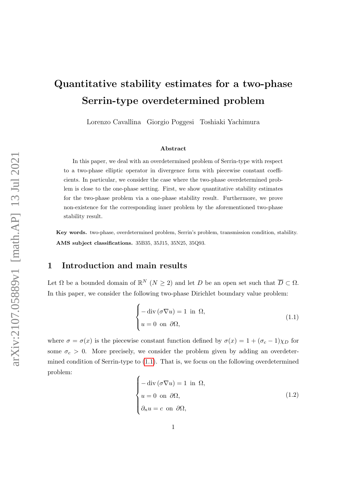# Quantitative stability estimates for a two-phase Serrin-type overdetermined problem

Lorenzo Cavallina Giorgio Poggesi Toshiaki Yachimura

#### Abstract

In this paper, we deal with an overdetermined problem of Serrin-type with respect to a two-phase elliptic operator in divergence form with piecewise constant coefficients. In particular, we consider the case where the two-phase overdetermined problem is close to the one-phase setting. First, we show quantitative stability estimates for the two-phase problem via a one-phase stability result. Furthermore, we prove non-existence for the corresponding inner problem by the aforementioned two-phase stability result.

Key words. two-phase, overdetermined problem, Serrin's problem, transmission condition, stability. AMS subject classifications. 35B35, 35J15, 35N25, 35Q93.

#### 1 Introduction and main results

Let  $\Omega$  be a bounded domain of  $\mathbb{R}^N$   $(N \geq 2)$  and let D be an open set such that  $\overline{D} \subset \Omega$ . In this paper, we consider the following two-phase Dirichlet boundary value problem:

<span id="page-0-0"></span>
$$
\begin{cases}\n-\text{div}(\sigma \nabla u) = 1 & \text{in } \Omega, \\
u = 0 & \text{on } \partial \Omega,\n\end{cases}
$$
\n(1.1)

where  $\sigma = \sigma(x)$  is the piecewise constant function defined by  $\sigma(x) = 1 + (\sigma_c - 1)\chi_D$  for some  $\sigma_c > 0$ . More precisely, we consider the problem given by adding an overdetermined condition of Serrin-type to [\(1.1\)](#page-0-0). That is, we focus on the following overdetermined problem:

<span id="page-0-1"></span>
$$
\begin{cases}\n-\text{div}(\sigma \nabla u) = 1 & \text{in } \Omega, \\
u = 0 & \text{on } \partial \Omega, \\
\partial_n u = c & \text{on } \partial \Omega,\n\end{cases}
$$
\n(1.2)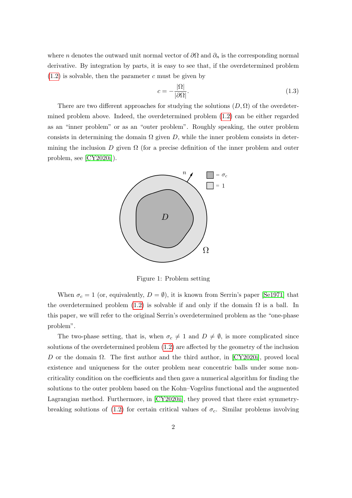where *n* denotes the outward unit normal vector of  $\partial\Omega$  and  $\partial_n$  is the corresponding normal derivative. By integration by parts, it is easy to see that, if the overdetermined problem  $(1.2)$  is solvable, then the parameter c must be given by

<span id="page-1-0"></span>
$$
c = -\frac{|\Omega|}{|\partial \Omega|}.\tag{1.3}
$$

There are two different approaches for studying the solutions  $(D, \Omega)$  of the overdetermined problem above. Indeed, the overdetermined problem [\(1.2\)](#page-0-1) can be either regarded as an "inner problem" or as an "outer problem". Roughly speaking, the outer problem consists in determining the domain  $\Omega$  given D, while the inner problem consists in determining the inclusion  $D$  given  $\Omega$  (for a precise definition of the inner problem and outer problem, see [\[CY2020i\]](#page-20-0)).



Figure 1: Problem setting

When  $\sigma_c = 1$  (or, equivalently,  $D = \emptyset$ ), it is known from Serrin's paper [\[Se1971\]](#page-22-0) that the overdetermined problem [\(1.2\)](#page-0-1) is solvable if and only if the domain  $\Omega$  is a ball. In this paper, we will refer to the original Serrin's overdetermined problem as the "one-phase problem".

The two-phase setting, that is, when  $\sigma_c \neq 1$  and  $D \neq \emptyset$ , is more complicated since solutions of the overdetermined problem [\(1.2\)](#page-0-1) are affected by the geometry of the inclusion D or the domain  $\Omega$ . The first author and the third author, in [\[CY2020i\]](#page-20-0), proved local existence and uniqueness for the outer problem near concentric balls under some noncriticality condition on the coefficients and then gave a numerical algorithm for finding the solutions to the outer problem based on the Kohn–Vogelius functional and the augmented Lagrangian method. Furthermore, in [\[CY2020ii\]](#page-20-1), they proved that there exist symmetry-breaking solutions of [\(1.2\)](#page-0-1) for certain critical values of  $\sigma_c$ . Similar problems involving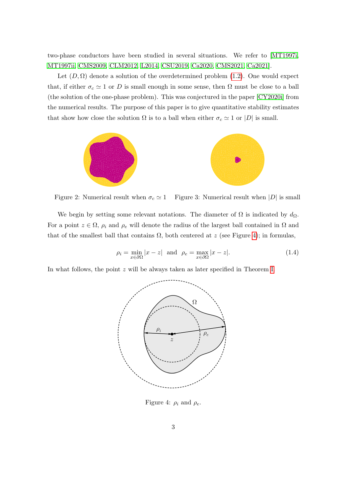two-phase conductors have been studied in several situations. We refer to [\[MT1997i,](#page-22-1) [MT1997ii,](#page-22-2) [CMS2009,](#page-20-2) [CLM2012,](#page-20-3) [L2014,](#page-21-0) [CSU2019,](#page-20-4) [Ca2020,](#page-20-5) [CMS2021,](#page-20-6) [Ca2021\]](#page-20-7).

Let  $(D, \Omega)$  denote a solution of the overdetermined problem [\(1.2\)](#page-0-1). One would expect that, if either  $\sigma_c \simeq 1$  or D is small enough in some sense, then  $\Omega$  must be close to a ball (the solution of the one-phase problem). This was conjectured in the paper [\[CY2020i\]](#page-20-0) from the numerical results. The purpose of this paper is to give quantitative stability estimates that show how close the solution  $\Omega$  is to a ball when either  $\sigma_c \simeq 1$  or  $|D|$  is small.



Figure 2: Numerical result when  $\sigma_c \simeq 1$  Figure 3: Numerical result when |D| is small

We begin by setting some relevant notations. The diameter of  $\Omega$  is indicated by  $d_{\Omega}$ . For a point  $z \in \Omega$ ,  $\rho_i$  and  $\rho_e$  will denote the radius of the largest ball contained in  $\Omega$  and that of the smallest ball that contains  $\Omega$ , both centered at z (see Figure [4\)](#page-2-0); in formulas,

$$
\rho_i = \min_{x \in \partial\Omega} |x - z| \text{ and } \rho_e = \max_{x \in \partial\Omega} |x - z|.
$$
 (1.4)

In what follows, the point z will be always taken as later specified in Theorem [I.](#page-3-0)



<span id="page-2-0"></span>Figure 4:  $\rho_i$  and  $\rho_e$ .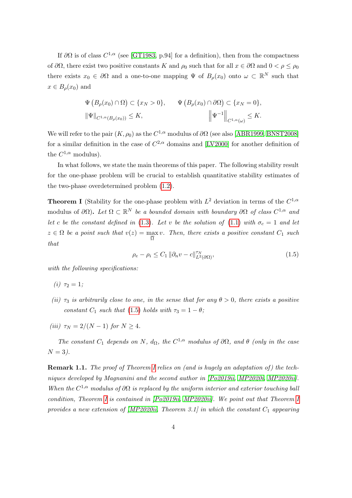If  $\partial\Omega$  is of class  $C^{1,\alpha}$  (see [\[GT1983,](#page-21-1) p.94] for a definition), then from the compactness of  $\partial\Omega$ , there exist two positive constants K and  $\rho_0$  such that for all  $x \in \partial\Omega$  and  $0 < \rho \leq \rho_0$ there exists  $x_0 \in \partial\Omega$  and a one-to-one mapping  $\Psi$  of  $B_\rho(x_0)$  onto  $\omega \subset \mathbb{R}^N$  such that  $x \in B_{\rho}(x_0)$  and

$$
\Psi\left(B_{\rho}(x_0)\cap\Omega\right)\subset\{x_N>0\},\qquad\Psi\left(B_{\rho}(x_0)\cap\partial\Omega\right)\subset\{x_N=0\},
$$
  

$$
\|\Psi\|_{C^{1,\alpha}(B_{\rho}(x_0))}\leq K,
$$

$$
\left\|\Psi^{-1}\right\|_{C^{1,\alpha}(\omega)}\leq K.
$$

We will refer to the pair  $(K, \rho_0)$  as the  $C^{1,\alpha}$  modulus of  $\partial\Omega$  (see also [\[ABR1999,](#page-19-0) [BNST2008\]](#page-20-8) for a similar definition in the case of  $C^{2,\alpha}$  domains and [\[LV2000\]](#page-21-2) for another definition of the  $C^{1,\alpha}$  modulus).

In what follows, we state the main theorems of this paper. The following stability result for the one-phase problem will be crucial to establish quantitative stability estimates of the two-phase overdetermined problem [\(1.2\)](#page-0-1).

<span id="page-3-0"></span>**Theorem I** (Stability for the one-phase problem with  $L^2$  deviation in terms of the  $C^{1,\alpha}$ modulus of  $\partial\Omega$ ). Let  $\Omega \subset \mathbb{R}^N$  be a bounded domain with boundary  $\partial\Omega$  of class  $C^{1,\alpha}$  and let c be the constant defined in [\(1.3\)](#page-1-0). Let v be the solution of [\(1.1\)](#page-0-0) with  $\sigma_c = 1$  and let  $z \in \Omega$  be a point such that  $v(z) = \max$  $\overline{\Omega}$  ax v. Then, there exists a positive constant  $C_1$  such that

<span id="page-3-1"></span>
$$
\rho_e - \rho_i \le C_1 \|\partial_n v - c\|_{L^2(\partial \Omega)}^{\tau_N},\tag{1.5}
$$

with the following specifications:

(*i*)  $\tau_2 = 1$ ;

- (ii)  $\tau_3$  is arbitrarily close to one, in the sense that for any  $\theta > 0$ , there exists a positive constant  $C_1$  such that [\(1.5\)](#page-3-1) holds with  $\tau_3 = 1 - \theta$ ;
- (iii)  $\tau_N = 2/(N-1)$  for  $N \geq 4$ .

The constant  $C_1$  depends on N,  $d_{\Omega}$ , the  $C^{1,\alpha}$  modulus of  $\partial\Omega$ , and  $\theta$  (only in the case  $N = 3$ ).

Remark 1.1. The proof of Theorem [I](#page-3-0) relies on (and is hugely an adaptation of) the tech-niques developed by Magnanini and the second author in [\[Po2019ii,](#page-22-3) [MP2020i,](#page-21-3) [MP2020ii\]](#page-21-4). When the  $C^{1,\alpha}$  modulus of  $\partial\Omega$  is replaced by the uniform interior and exterior touching ball condition, Theorem [I](#page-3-0) is contained in [\[Po2019ii,](#page-22-3) [MP2020ii\]](#page-21-4). We point out that Theorem [I](#page-3-0) provides a new extension of  $[MP2020ii, Theorem 3.1]$  $[MP2020ii, Theorem 3.1]$  in which the constant  $C_1$  appearing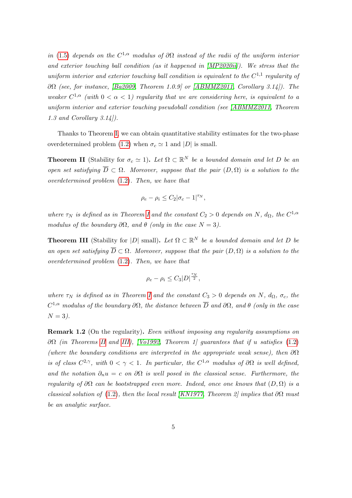in [\(1.5\)](#page-3-1) depends on the  $C^{1,\alpha}$  modulus of  $\partial\Omega$  instead of the radii of the uniform interior and exterior touching ball condition (as it happened in [\[MP2020ii\]](#page-21-4)). We stress that the uniform interior and exterior touching ball condition is equivalent to the  $C^{1,1}$  regularity of  $\partial\Omega$  (see, for instance, [\[Ba2009,](#page-20-9) Theorem 1.0.9] or [\[ABMMZ2011,](#page-19-1) Corollary 3.14]). The weaker  $C^{1,\alpha}$  (with  $0 < \alpha < 1$ ) regularity that we are considering here, is equivalent to a uniform interior and exterior touching pseudoball condition (see [\[ABMMZ2011,](#page-19-1) Theorem 1.3 and Corollary 3.14]).

Thanks to Theorem [I,](#page-3-0) we can obtain quantitative stability estimates for the two-phase overdetermined problem [\(1.2\)](#page-0-1) when  $\sigma_c \simeq 1$  and  $|D|$  is small.

<span id="page-4-0"></span>**Theorem II** (Stability for  $\sigma_c \simeq 1$ ). Let  $\Omega \subset \mathbb{R}^N$  be a bounded domain and let D be an open set satisfying  $\overline{D} \subset \Omega$ . Moreover, suppose that the pair  $(D, \Omega)$  is a solution to the overdetermined problem [\(1.2\)](#page-0-1). Then, we have that

$$
\rho_e - \rho_i \le C_2 |\sigma_c - 1|^{\tau_N},
$$

where  $\tau_N$  is defined as in Theorem [I](#page-3-0) and the constant  $C_2 > 0$  depends on N,  $d_{\Omega}$ , the  $C^{1,\alpha}$ modulus of the boundary  $\partial\Omega$ , and  $\theta$  (only in the case  $N=3$ ).

<span id="page-4-1"></span>**Theorem III** (Stability for |D| small). Let  $\Omega \subset \mathbb{R}^N$  be a bounded domain and let D be an open set satisfying  $\overline{D} \subset \Omega$ . Moreover, suppose that the pair  $(D, \Omega)$  is a solution to the overdetermined problem [\(1.2\)](#page-0-1). Then, we have that

$$
\rho_e - \rho_i \leq C_3 |D|^{\frac{\tau_N}{2}},
$$

where  $\tau_N$  is defined as in Theorem [I](#page-3-0) and the constant  $C_3 > 0$  depends on N,  $d_{\Omega}, \sigma_c$ , the  $C^{1,\alpha}$  modulus of the boundary  $\partial\Omega$ , the distance between  $\overline{D}$  and  $\partial\Omega$ , and  $\theta$  (only in the case  $N = 3$ .

Remark 1.2 (On the regularity). Even without imposing any regularity assumptions on  $\partial\Omega$  (in Theorems [II](#page-4-0) and [III\)](#page-4-1), [\[Vo1992,](#page-22-4) Theorem 1] quarantees that if u satisfies [\(1.2\)](#page-0-1) (where the boundary conditions are interpreted in the appropriate weak sense), then  $\partial\Omega$ is of class  $C^{2,\gamma}$ , with  $0 < \gamma < 1$ . In particular, the  $C^{1,\alpha}$  modulus of  $\partial\Omega$  is well defined, and the notation  $\partial_n u = c$  on  $\partial \Omega$  is well posed in the classical sense. Furthermore, the regularity of  $\partial\Omega$  can be bootstrapped even more. Indeed, once one knows that  $(D, \Omega)$  is a classical solution of [\(1.2\)](#page-0-1), then the local result [\[KN1977,](#page-21-5) Theorem 2] implies that  $\partial\Omega$  must be an analytic surface.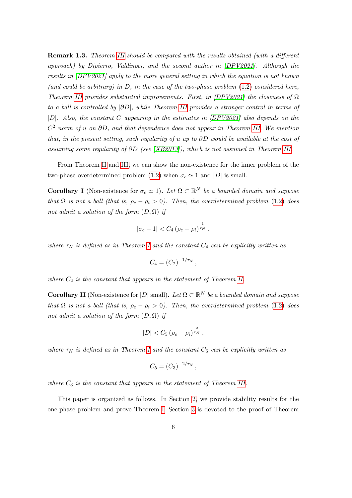Remark 1.3. Theorem [III](#page-4-1) should be compared with the results obtained (with a different approach) by Dipierro, Valdinoci, and the second author in [\[DPV2021\]](#page-20-10). Although the results in [\[DPV2021\]](#page-20-10) apply to the more general setting in which the equation is not known (and could be arbitrary) in  $D$ , in the case of the two-phase problem  $(1.2)$  considered here, Theorem [III](#page-4-1) provides substantial improvements. First, in  $[DPV2021]$  the closeness of  $\Omega$ to a ball is controlled by |∂D|, while Theorem [III](#page-4-1) provides a stronger control in terms of |D|. Also, the constant C appearing in the estimates in [\[DPV2021\]](#page-20-10) also depends on the  $C<sup>2</sup>$  norm of u on  $\partial D$ , and that dependence does not appear in Theorem [III.](#page-4-1) We mention that, in the present setting, such regularity of u up to ∂D would be available at the cost of assuming some regularity of  $\partial D$  (see [\[XB2013\]](#page-22-5)), which is not assumed in Theorem [III.](#page-4-1)

From Theorem [II](#page-4-0) and [III,](#page-4-1) we can show the non-existence for the inner problem of the two-phase overdetermined problem [\(1.2\)](#page-0-1) when  $\sigma_c \simeq 1$  and |D| is small.

<span id="page-5-0"></span>**Corollary I** (Non-existence for  $\sigma_c \simeq 1$ ). Let  $\Omega \subset \mathbb{R}^N$  be a bounded domain and suppose that  $\Omega$  is not a ball (that is,  $\rho_e - \rho_i > 0$ ). Then, the overdetermined problem [\(1.2\)](#page-0-1) does not admit a solution of the form  $(D, \Omega)$  if

$$
|\sigma_c - 1| < C_4 \left(\rho_e - \rho_i\right)^{\frac{1}{\tau_N}},
$$

where  $\tau_N$  is defined as in Theorem [I](#page-3-0) and the constant  $C_4$  can be explicitly written as

$$
C_4 = (C_2)^{-1/\tau_N},
$$

where  $C_2$  is the constant that appears in the statement of Theorem [II.](#page-4-0)

<span id="page-5-1"></span>**Corollary II** (Non-existence for  $|D|$  small). Let  $\Omega \subset \mathbb{R}^N$  be a bounded domain and suppose that  $\Omega$  is not a ball (that is,  $\rho_e - \rho_i > 0$ ). Then, the overdetermined problem [\(1.2\)](#page-0-1) does not admit a solution of the form  $(D, \Omega)$  if

$$
|D| < C_5 \left(\rho_e - \rho_i\right)^{\frac{2}{\tau_N}}.
$$

where  $\tau_N$  is defined as in Theorem [I](#page-3-0) and the constant  $C_5$  can be explicitly written as

$$
C_5 = (C_3)^{-2/\tau_N},
$$

where  $C_3$  is the constant that appears in the statement of Theorem [III.](#page-4-1)

This paper is organized as follows. In Section [2,](#page-6-0) we provide stability results for the one-phase problem and prove Theorem [I.](#page-3-0) Section [3](#page-10-0) is devoted to the proof of Theorem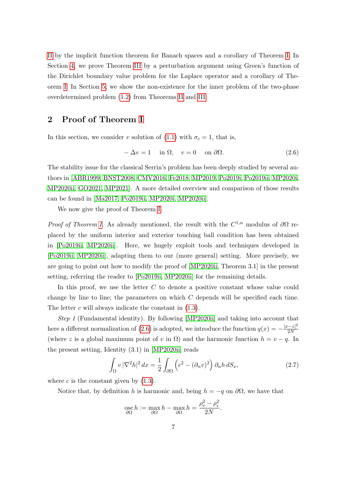[II](#page-4-0) by the implicit function theorem for Banach spaces and a corollary of Theorem [I.](#page-3-0) In Section [4,](#page-14-0) we prove Theorem [III](#page-4-1) by a perturbation argument using Green's function of the Dirichlet boundary value problem for the Laplace operator and a corollary of Theorem [I.](#page-3-0) In Section [5,](#page-17-0) we show the non-existence for the inner problem of the two-phase overdetermined problem [\(1.2\)](#page-0-1) from Theorems [II](#page-4-0) and [III.](#page-4-1)

#### <span id="page-6-0"></span>2 Proof of Theorem [I](#page-3-0)

In this section, we consider v solution of [\(1.1\)](#page-0-0) with  $\sigma_c = 1$ , that is,

<span id="page-6-1"></span>
$$
-\Delta v = 1 \quad \text{in } \Omega, \quad v = 0 \quad \text{on } \partial \Omega. \tag{2.6}
$$

The stability issue for the classical Serrin's problem has been deeply studied by several authors in [\[ABR1999,](#page-19-0) [BNST2008,](#page-20-8) [CMV2016,](#page-20-11) [Fe2018,](#page-21-6) [MP2019,](#page-21-7) [Po2019i,](#page-22-6) [Po2019ii,](#page-22-3) [MP2020i,](#page-21-3) [MP2020ii,](#page-21-4) [GO2021,](#page-21-8) [MP2021\]](#page-22-7). A more detailed overview and comparison of those results can be found in [\[Ma2017,](#page-21-9) [Po2019ii,](#page-22-3) [MP2020i,](#page-21-3) [MP2020ii\]](#page-21-4).

We now give the proof of Theorem [I.](#page-3-0)

*Proof of Theorem [I.](#page-3-0)* As already mentioned, the result with the  $C^{1,\alpha}$  modulus of  $\partial\Omega$  replaced by the uniform interior and exterior touching ball condition has been obtained in [\[Po2019ii,](#page-22-3) [MP2020ii\]](#page-21-4). Here, we hugely exploit tools and techniques developed in [\[Po2019ii,](#page-22-3) [MP2020ii\]](#page-21-4), adapting them to our (more general) setting. More precisely, we are going to point out how to modify the proof of [\[MP2020ii,](#page-21-4) Theorem 3.1] in the present setting, referring the reader to [\[Po2019ii,](#page-22-3) [MP2020ii\]](#page-21-4) for the remaining details.

In this proof, we use the letter  $C$  to denote a positive constant whose value could change by line to line; the parameters on which  $C$  depends will be specified each time. The letter  $c$  will always indicate the constant in  $(1.3)$ .

Step 1 (Fundamental identity). By following [\[MP2020ii\]](#page-21-4) and taking into account that here a different normalization of [\(2.6\)](#page-6-1) is adopted, we introduce the function  $q(x) = -\frac{|x-z|^2}{2N}$  $2N$ (where z is a global maximum point of v in  $\Omega$ ) and the harmonic function  $h = v - q$ . In the present setting, Identity (3.1) in [\[MP2020ii\]](#page-21-4) reads

<span id="page-6-2"></span>
$$
\int_{\Omega} v |\nabla^2 h|^2 dx = \frac{1}{2} \int_{\partial \Omega} \left( c^2 - (\partial_n v)^2 \right) \partial_n h \, dS_x,\tag{2.7}
$$

where  $c$  is the constant given by  $(1.3)$ .

Notice that, by definition h is harmonic and, being  $h = -q$  on  $\partial\Omega$ , we have that

$$
\operatorname*{osc}_{\partial\Omega} h := \max_{\partial\Omega} h - \max_{\partial\Omega} h = \frac{\rho_e^2 - \rho_i^2}{2N}.
$$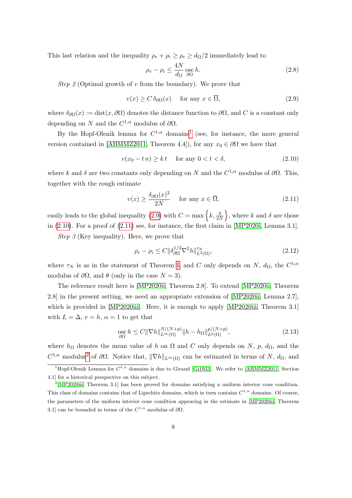This last relation and the inequality  $\rho_e + \rho_i \ge \rho_e \ge d_{\Omega}/2$  immediately lead to

<span id="page-7-5"></span>
$$
\rho_e - \rho_i \le \frac{4N}{d_{\Omega}} \operatorname*{osc}_{\partial \Omega} h. \tag{2.8}
$$

*Step 2* (Optimal growth of v from the boundary). We prove that

<span id="page-7-1"></span>
$$
v(x) \ge C \,\delta_{\partial\Omega}(x) \quad \text{ for any } x \in \overline{\Omega}, \tag{2.9}
$$

where  $\delta_{\partial\Omega}(x) := \text{dist}(x, \partial\Omega)$  denotes the distance function to  $\partial\Omega$ , and C is a constant only depending on N and the  $C^{1,\alpha}$  modulus of  $\partial\Omega$ .

By the Hopf-Olenik lemma for  $C^{1,\alpha}$  $C^{1,\alpha}$  $C^{1,\alpha}$  domains<sup>1</sup> (see, for instance, the more general version contained in [\[ABMMZ2011,](#page-19-1) Theorem 4.4]), for any  $x_0 \in \partial\Omega$  we have that

<span id="page-7-2"></span>
$$
v(x_0 - t n) \ge kt \quad \text{for any } 0 < t < \delta,\tag{2.10}
$$

where k and  $\delta$  are two constants only depending on N and the  $C^{1,\alpha}$  modulus of  $\partial\Omega$ . This, together with the rough estimate

<span id="page-7-3"></span>
$$
v(x) \ge \frac{\delta_{\partial \Omega}(x)^2}{2N} \quad \text{ for any } x \in \overline{\Omega}, \tag{2.11}
$$

easily leads to the global inequality [\(2.9\)](#page-7-1) with  $C = \max\left\{k, \frac{\delta}{2N}\right\}$ , where k and  $\delta$  are those in  $(2.10)$ . For a proof of  $(2.11)$  see, for instance, the first claim in [\[MP2020i,](#page-21-3) Lemma 3.1].

Step 3 (Key inequality). Here, we prove that

<span id="page-7-7"></span>
$$
\rho_e - \rho_i \le C \|\delta_{\partial\Omega}^{1/2} \nabla^2 h\|_{L^2(\Omega)}^{\tau_N},\tag{2.12}
$$

where  $\tau_N$  is as in the statement of Theorem [I,](#page-3-0) and C only depends on N,  $d_{\Omega}$ , the  $C^{1,\alpha}$ modulus of  $\partial\Omega$ , and  $\theta$  (only in the case  $N=3$ ).

The reference result here is [\[MP2020ii,](#page-21-4) Theorem 2.8]. To extend [\[MP2020ii,](#page-21-4) Theorem 2.8] in the present setting, we need an appropriate extension of [\[MP2020ii,](#page-21-4) Lemma 2.7], which is provided in [\[MP2020iii\]](#page-21-10). Here, it is enough to apply [\[MP2020iii,](#page-21-10) Theorem 3.1] with  $L = \Delta$ ,  $v = h$ ,  $\alpha = 1$  to get that

<span id="page-7-6"></span>
$$
\underset{\partial\Omega}{\mathrm{osc}} h \le C \|\nabla h\|_{L^{\infty}(\Omega)}^{N/(N+p)} \|h - h_{\Omega}\|_{L^{p}(\Omega)}^{p/(N+p)},\tag{2.13}
$$

where  $h_{\Omega}$  denotes the mean value of h on  $\Omega$  and C only depends on N, p,  $d_{\Omega}$ , and the  $C^{1,\alpha}$  modulus<sup>[2](#page-7-4)</sup> of  $\partial\Omega$ . Notice that,  $\|\nabla h\|_{L^{\infty}(\Omega)}$  can be estimated in terms of N,  $d_{\Omega}$ , and

<span id="page-7-0"></span><sup>&</sup>lt;sup>1</sup>Hopf-Olenik Lemma for  $C^{1,\alpha}$  domains is due to Giraud [\[Gi1933\]](#page-21-11). We refer to [\[ABMMZ2011,](#page-19-1) Section 4.1] for a historical perspective on this subject.

<span id="page-7-4"></span><sup>2</sup> [\[MP2020iii,](#page-21-10) Theorem 3.1] has been proved for domains satisfying a uniform interior cone condition. This class of domains contains that of Lipschitz domains, which in turn contains  $C^{1,\alpha}$  domains. Of course, the parameters of the uniform interior cone condition appearing in the estimate in [\[MP2020iii,](#page-21-10) Theorem 3.1] can be bounded in terms of the  $C^{1,\alpha}$  modulus of  $\partial\Omega$ .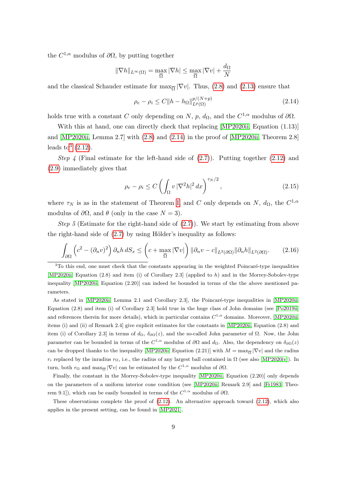the  $C^{1,\alpha}$  modulus of  $\partial\Omega$ , by putting together

$$
\|\nabla h\|_{L^{\infty}(\Omega)} = \max_{\overline{\Omega}} |\nabla h| \le \max_{\overline{\Omega}} |\nabla v| + \frac{d_{\Omega}}{N}
$$

and the classical Schauder estimate for  $\max_{\overline{\Omega}} |\nabla v|$ . Thus, [\(2.8\)](#page-7-5) and [\(2.13\)](#page-7-6) ensure that

<span id="page-8-0"></span>
$$
\rho_e - \rho_i \le C \|h - h_\Omega\|_{L^p(\Omega)}^{p/(N+p)} \tag{2.14}
$$

holds true with a constant C only depending on N, p,  $d_{\Omega}$ , and the  $C^{1,\alpha}$  modulus of  $\partial\Omega$ .

With this at hand, one can directly check that replacing [\[MP2020ii,](#page-21-4) Equation  $(1.13)$ ] and  $[MP2020ii, Lemma 2.7]$  with  $(2.8)$  and  $(2.14)$  in the proof of  $[MP2020ii, Theorem 2.8]$ leads to  $3(2.12)$  $3(2.12)$ .

Step 4 (Final estimate for the left-hand side of  $(2.7)$ ). Putting together  $(2.12)$  and [\(2.9\)](#page-7-1) immediately gives that

<span id="page-8-3"></span>
$$
\rho_e - \rho_i \le C \left( \int_{\Omega} v \, |\nabla^2 h|^2 \, dx \right)^{\tau_N/2},\tag{2.15}
$$

where  $\tau_N$  is as in the statement of Theorem [I,](#page-3-0) and C only depends on N,  $d_{\Omega}$ , the  $C^{1,\alpha}$ modulus of  $\partial\Omega$ , and  $\theta$  (only in the case  $N = 3$ ).

*Step 5* (Estimate for the right-hand side of  $(2.7)$ ). We start by estimating from above the right-hand side of  $(2.7)$  by using Hölder's inequality as follows:

<span id="page-8-2"></span>
$$
\int_{\partial\Omega} \left( c^2 - (\partial_n v)^2 \right) \partial_n h \, dS_x \le \left( c + \max_{\overline{\Omega}} |\nabla v| \right) \left\| \partial_n v - c \right\|_{L^2(\partial\Omega)} \left\| \partial_n h \right\|_{L^2(\partial\Omega)}.
$$
 (2.16)

Finally, the constant in the Morrey-Sobolev-type inequality [\[MP2020ii,](#page-21-4) Equation (2.20)] only depends on the parameters of a uniform interior cone condition (see [\[MP2020ii,](#page-21-4) Remark 2.9] and [\[Fr1983,](#page-21-12) Theorem 9.1]), which can be easily bounded in terms of the  $C^{1,\alpha}$  modulus of  $\partial\Omega$ .

These observations complete the proof of  $(2.12)$ . An alternative approach toward  $(2.12)$ , which also applies in the present setting, can be found in [\[MP2021\]](#page-22-7).

<span id="page-8-1"></span> $3$ To this end, one must check that the constants appearing in the weighted Poincaré-type inequalities [\[MP2020ii,](#page-21-4) Equation (2.8) and item (i) of Corollary 2.3] (applied to h) and in the Morrey-Sobolev-type inequality [\[MP2020ii,](#page-21-4) Equation (2.20)] can indeed be bounded in terms of the the above mentioned parameters.

As stated in [\[MP2020ii,](#page-21-4) Lemma 2.1 and Corollary 2.3], the Poincaré-type inequalities in [MP2020ii, Equation (2.8) and item (i) of Corollary 2.3] hold true in the huge class of John domains (see [\[Po2019ii\]](#page-22-3) and references therein for more details), which in particular contains  $C^{1,\alpha}$  domains. Moreover, [\[MP2020ii,](#page-21-4) items (i) and (ii) of Remark 2.4] give explicit estimates for the constants in [\[MP2020ii,](#page-21-4) Equation (2.8) and item (i) of Corollary 2.3] in terms of  $d_{\Omega}$ ,  $\delta_{\partial\Omega}(z)$ , and the so-called John parameter of  $\Omega$ . Now, the John parameter can be bounded in terms of the  $C^{1,\alpha}$  modulus of  $\partial\Omega$  and  $d_{\Omega}$ . Also, the dependency on  $\delta_{\partial\Omega}(z)$ can be dropped thanks to the inequality [\[MP2020ii,](#page-21-4) Equation (2.21)] with  $M = \max_{\overline{Q}} |\nabla v|$  and the radius  $r_i$  replaced by the inradius  $r_{\Omega}$ , i.e., the radius of any largest ball contained in  $\Omega$  (see also [\[MP2020iv\]](#page-22-8)). In turn, both  $r_{\Omega}$  and  $\max_{\overline{\Omega}} |\nabla v|$  can be estimated by the  $C^{1,\alpha}$  modulus of  $\partial\Omega$ .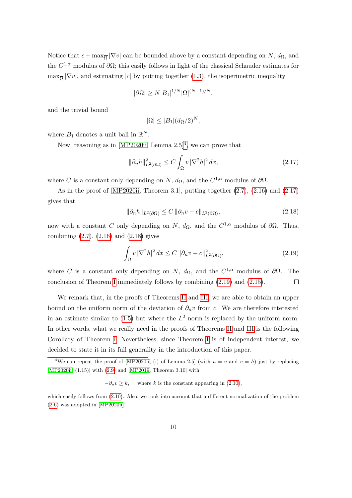Notice that  $c + \max_{\overline{\Omega}} |\nabla v|$  can be bounded above by a constant depending on  $N$ ,  $d_{\Omega}$ , and the  $C^{1,\alpha}$  modulus of  $\partial\Omega$ ; this easily follows in light of the classical Schauder estimates for  $\max_{\overline{\Omega}} |\nabla v|$ , and estimating |c| by putting together [\(1.3\)](#page-1-0), the isoperimetric inequality

$$
|\partial\Omega| \ge N|B_1|^{1/N} |\Omega|^{(N-1)/N},
$$

and the trivial bound

$$
|\Omega| \leq |B_1| (d_{\Omega}/2)^N,
$$

where  $B_1$  denotes a unit ball in  $\mathbb{R}^N$ .

Now, reasoning as in [\[MP2020ii,](#page-21-4) Lemma  $2.5$ ]<sup>[4](#page-9-0)</sup>, we can prove that

<span id="page-9-1"></span>
$$
\|\partial_n h\|_{L^2(\partial\Omega)}^2 \le C \int_{\Omega} v |\nabla^2 h|^2 dx, \tag{2.17}
$$

where C is a constant only depending on N,  $d_{\Omega}$ , and the  $C^{1,\alpha}$  modulus of  $\partial\Omega$ .

As in the proof of [\[MP2020ii,](#page-21-4) Theorem 3.1], putting together  $(2.7)$ ,  $(2.16)$  and  $(2.17)$ gives that

<span id="page-9-2"></span>
$$
\|\partial_n h\|_{L^2(\partial\Omega)} \le C \|\partial_n v - c\|_{L^2(\partial\Omega)},\tag{2.18}
$$

now with a constant C only depending on N,  $d_{\Omega}$ , and the  $C^{1,\alpha}$  modulus of  $\partial\Omega$ . Thus, combining  $(2.7)$ ,  $(2.16)$  and  $(2.18)$  gives

<span id="page-9-3"></span>
$$
\int_{\Omega} v \, |\nabla^2 h|^2 \, dx \le C \, \|\partial_n v - c\|_{L^2(\partial \Omega)}^2,\tag{2.19}
$$

where C is a constant only depending on N,  $d_{\Omega}$ , and the  $C^{1,\alpha}$  modulus of  $\partial\Omega$ . The conclusion of Theorem [I](#page-3-0) immediately follows by combining [\(2.19\)](#page-9-3) and [\(2.15\)](#page-8-3).  $\Box$ 

We remark that, in the proofs of Theorems [II](#page-4-0) and [III,](#page-4-1) we are able to obtain an upper bound on the uniform norm of the deviation of  $\partial_n v$  from c. We are therefore interested in an estimate similar to [\(1.5\)](#page-3-1) but where the  $L^2$  norm is replaced by the uniform norm. In other words, what we really need in the proofs of Theorems [II](#page-4-0) and [III](#page-4-1) is the following Corollary of Theorem [I.](#page-3-0) Nevertheless, since Theorem [I](#page-3-0) is of independent interest, we decided to state it in its full generality in the introduction of this paper.

<span id="page-9-0"></span><sup>&</sup>lt;sup>4</sup>We can repeat the proof of [\[MP2020ii,](#page-21-4) (i) of Lemma 2.5] (with  $u = v$  and  $v = h$ ) just by replacing [\[MP2020ii,](#page-21-4) (1.15)] with [\(2.9\)](#page-7-1) and [\[MP2019,](#page-21-7) Theorem 3.10] with

 $-\partial_n v \geq k$ , where k is the constant appearing in [\(2.10\)](#page-7-2),

which easily follows from [\(2.10\)](#page-7-2). Also, we took into account that a different normalization of the problem [\(2.6\)](#page-6-1) was adopted in [\[MP2020ii\]](#page-21-4).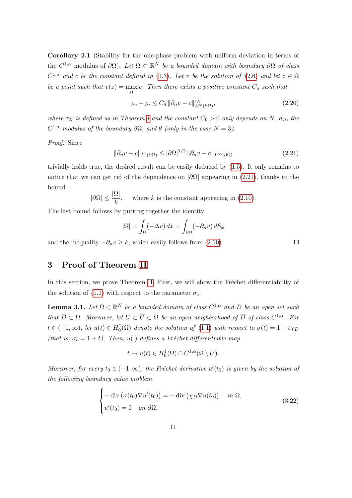<span id="page-10-4"></span>Corollary 2.1 (Stability for the one-phase problem with uniform deviation in terms of the  $C^{1,\alpha}$  modulus of  $\partial\Omega$ ). Let  $\Omega \subset \mathbb{R}^N$  be a bounded domain with boundary  $\partial\Omega$  of class  $C^{1,\alpha}$  and c be the constant defined in [\(1.3\)](#page-1-0). Let v be the solution of [\(2.6\)](#page-6-1) and let  $z \in \Omega$ be a point such that  $v(z) = \max v$ . Then there exists a positive constant  $C_6$  such that Ω

$$
\rho_e - \rho_i \le C_6 \left\| \partial_n v - c \right\|_{L^\infty(\partial \Omega)}^{\tau_N},\tag{2.20}
$$

where  $\tau_N$  is defined as in Theorem [I](#page-3-0) and the constant  $C_6 > 0$  only depends on N,  $d_{\Omega}$ , the  $C^{1,\alpha}$  modulus of the boundary  $\partial\Omega$ , and  $\theta$  (only in the case  $N=3$ ).

Proof. Since

<span id="page-10-1"></span>
$$
\|\partial_n v - c\|_{L^2(\partial\Omega)} \le |\partial\Omega|^{1/2} \|\partial_n v - c\|_{L^\infty(\partial\Omega)} \tag{2.21}
$$

trivially holds true, the desired result can be easily deduced by [\(1.5\)](#page-3-1). It only remains to notice that we can get rid of the dependence on  $|\partial\Omega|$  appearing in [\(2.21\)](#page-10-1), thanks to the bound

$$
|\partial\Omega| \le \frac{|\Omega|}{k}
$$
, where k is the constant appearing in (2.10).

The last bound follows by putting together the identity

$$
|\Omega| = \int_{\Omega} (-\Delta v) dx = \int_{\partial \Omega} (-\partial_n v) dS_x
$$

and the inequality  $-\partial_n v \geq k$ , which easily follows from [\(2.10\)](#page-7-2).

 $\Box$ 

#### <span id="page-10-0"></span>3 Proof of Theorem [II](#page-4-0)

In this section, we prove Theorem [II.](#page-4-0) First, we will show the Fréchet differentiability of the solution of [\(1.1\)](#page-0-0) with respect to the parameter  $\sigma_c$ .

<span id="page-10-2"></span>**Lemma 3.1.** Let  $\Omega \subset \mathbb{R}^N$  be a bounded domain of class  $C^{1,\alpha}$  and D be an open set such that  $\overline{D} \subset \Omega$ . Moreover, let  $U \subset \overline{U} \subset \Omega$  be an open neighborhood of  $\overline{D}$  of class  $C^{1,\alpha}$ . For  $t \in (-1,\infty)$ , let  $u(t) \in H_0^1(\Omega)$  denote the solution of  $(1.1)$  with respect to  $\sigma(t) = 1 + t \chi_D$ (that is,  $\sigma_c = 1 + t$ ). Then,  $u(\cdot)$  defines a Fréchet differentiable map

$$
t \mapsto u(t) \in H_0^1(\Omega) \cap C^{1,\alpha}(\overline{\Omega} \setminus U).
$$

Moreover, for every  $t_0 \in (-1,\infty)$ , the Fréchet derivative  $u'(t_0)$  is given by the solution of the following boundary value problem.

<span id="page-10-3"></span>
$$
\begin{cases}\n-\text{div}(\sigma(t_0)\nabla u'(t_0)) = -\text{div}(\chi_D\nabla u(t_0)) & \text{in } \Omega, \\
u'(t_0) = 0 & \text{on } \partial\Omega.\n\end{cases}
$$
\n(3.22)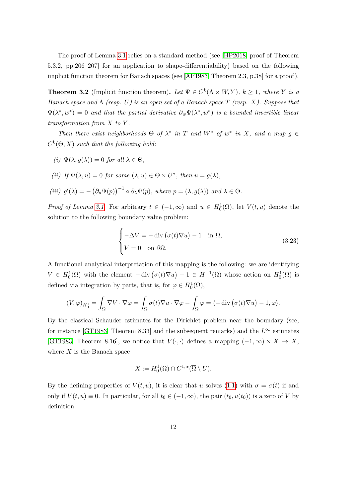The proof of Lemma [3.1](#page-10-2) relies on a standard method (see [\[HP2018,](#page-21-13) proof of Theorem 5.3.2, pp.206–207] for an application to shape-differentiability) based on the following implicit function theorem for Banach spaces (see [\[AP1983,](#page-19-2) Theorem 2.3, p.38] for a proof).

**Theorem 3.2** (Implicit function theorem). Let  $\Psi \in C^k(\Lambda \times W, Y)$ ,  $k \geq 1$ , where Y is a Banach space and  $\Lambda$  (resp. U) is an open set of a Banach space T (resp. X). Suppose that  $\Psi(\lambda^*, w^*) = 0$  and that the partial derivative  $\partial_w \Psi(\lambda^*, w^*)$  is a bounded invertible linear transformation from X to Y .

Then there exist neighborhoods  $\Theta$  of  $\lambda^*$  in T and  $W^*$  of  $w^*$  in X, and a map  $g \in$  $C^{k}(\Theta, X)$  such that the following hold:

- (i)  $\Psi(\lambda, g(\lambda)) = 0$  for all  $\lambda \in \Theta$ ,
- (ii) If  $\Psi(\lambda, u) = 0$  for some  $(\lambda, u) \in \Theta \times U^*$ , then  $u = g(\lambda)$ ,

(iii) 
$$
g'(\lambda) = -(\partial_u \Psi(p))^{-1} \circ \partial_\lambda \Psi(p)
$$
, where  $p = (\lambda, g(\lambda))$  and  $\lambda \in \Theta$ .

*Proof of Lemma [3.1.](#page-10-2)* For arbitrary  $t \in (-1, \infty)$  and  $u \in H_0^1(\Omega)$ , let  $V(t, u)$  denote the solution to the following boundary value problem:

<span id="page-11-0"></span>
$$
\begin{cases}\n-\Delta V = -\operatorname{div}(\sigma(t)\nabla u) - 1 & \text{in } \Omega, \\
V = 0 & \text{on } \partial\Omega.\n\end{cases}
$$
\n(3.23)

A functional analytical interpretation of this mapping is the following: we are identifying  $V \in H_0^1(\Omega)$  with the element  $-\text{div}(\sigma(t)\nabla u) - 1 \in H^{-1}(\Omega)$  whose action on  $H_0^1(\Omega)$  is defined via integration by parts, that is, for  $\varphi \in H_0^1(\Omega)$ ,

$$
(V, \varphi)_{H_0^1} = \int_{\Omega} \nabla V \cdot \nabla \varphi = \int_{\Omega} \sigma(t) \nabla u \cdot \nabla \varphi - \int_{\Omega} \varphi = \langle -\text{div} \left( \sigma(t) \nabla u \right) - 1, \varphi \rangle.
$$

By the classical Schauder estimates for the Dirichlet problem near the boundary (see, for instance [\[GT1983,](#page-21-1) Theorem 8.33] and the subsequent remarks) and the  $L^{\infty}$  estimates [\[GT1983,](#page-21-1) Theorem 8.16], we notice that  $V(\cdot, \cdot)$  defines a mapping  $(-1, \infty) \times X \to X$ , where  $X$  is the Banach space

$$
X := H_0^1(\Omega) \cap C^{1,\alpha}(\overline{\Omega} \setminus U).
$$

By the defining properties of  $V(t, u)$ , it is clear that u solves [\(1.1\)](#page-0-0) with  $\sigma = \sigma(t)$  if and only if  $V(t, u) \equiv 0$ . In particular, for all  $t_0 \in (-1, \infty)$ , the pair  $(t_0, u(t_0))$  is a zero of V by definition.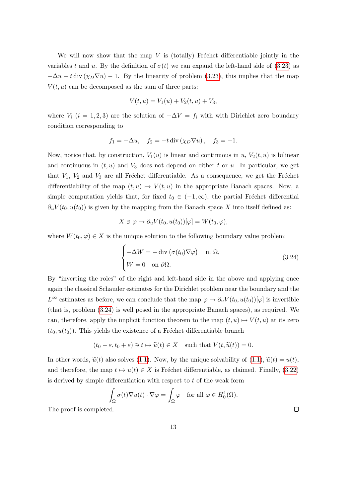We will now show that the map  $V$  is (totally) Fréchet differentiable jointly in the variables t and u. By the definition of  $\sigma(t)$  we can expand the left-hand side of [\(3.23\)](#page-11-0) as  $-\Delta u - t \operatorname{div} (\chi_D \nabla u) - 1$ . By the linearity of problem [\(3.23\)](#page-11-0), this implies that the map  $V(t, u)$  can be decomposed as the sum of three parts:

$$
V(t, u) = V_1(u) + V_2(t, u) + V_3,
$$

where  $V_i$  (i = 1, 2, 3) are the solution of  $-\Delta V = f_i$  with with Dirichlet zero boundary condition corresponding to

$$
f_1 = -\Delta u
$$
,  $f_2 = -t \operatorname{div} (\chi_D \nabla u)$ ,  $f_3 = -1$ .

Now, notice that, by construction,  $V_1(u)$  is linear and continuous in u,  $V_2(t, u)$  is bilinear and continuous in  $(t, u)$  and  $V_3$  does not depend on either t or u. In particular, we get that  $V_1$ ,  $V_2$  and  $V_3$  are all Fréchet differentiable. As a consequence, we get the Fréchet differentiability of the map  $(t, u) \mapsto V(t, u)$  in the appropriate Banach spaces. Now, a simple computation yields that, for fixed  $t_0 \in (-1,\infty)$ , the partial Fréchet differential  $\partial_u V(t_0, u(t_0))$  is given by the mapping from the Banach space X into itself defined as:

$$
X \ni \varphi \mapsto \partial_u V(t_0, u(t_0))[\varphi] = W(t_0, \varphi),
$$

where  $W(t_0, \varphi) \in X$  is the unique solution to the following boundary value problem:

<span id="page-12-0"></span>
$$
\begin{cases}\n-\Delta W = -\operatorname{div} \left( \sigma(t_0) \nabla \varphi \right) & \text{in } \Omega, \\
W = 0 & \text{on } \partial \Omega.\n\end{cases}
$$
\n(3.24)

By "inverting the roles" of the right and left-hand side in the above and applying once again the classical Schauder estimates for the Dirichlet problem near the boundary and the  $L^{\infty}$  estimates as before, we can conclude that the map  $\varphi \mapsto \partial_u V(t_0, u(t_0))[\varphi]$  is invertible (that is, problem [\(3.24\)](#page-12-0) is well posed in the appropriate Banach spaces), as required. We can, therefore, apply the implicit function theorem to the map  $(t, u) \mapsto V(t, u)$  at its zero  $(t_0, u(t_0))$ . This yields the existence of a Fréchet differentiable branch

$$
(t_0 - \varepsilon, t_0 + \varepsilon) \ni t \mapsto \widetilde{u}(t) \in X
$$
 such that  $V(t, \widetilde{u}(t)) = 0$ .

In other words,  $\tilde{u}(t)$  also solves [\(1.1\)](#page-0-0). Now, by the unique solvability of (1.1),  $\tilde{u}(t) = u(t)$ , and therefore, the map  $t \mapsto u(t) \in X$  is Fréchet differentiable, as claimed. Finally, [\(3.22\)](#page-10-3) is derived by simple differentiation with respect to  $t$  of the weak form

$$
\int_{\Omega} \sigma(t) \nabla u(t) \cdot \nabla \varphi = \int_{\Omega} \varphi \quad \text{for all } \varphi \in H_0^1(\Omega).
$$

The proof is completed.

 $\Box$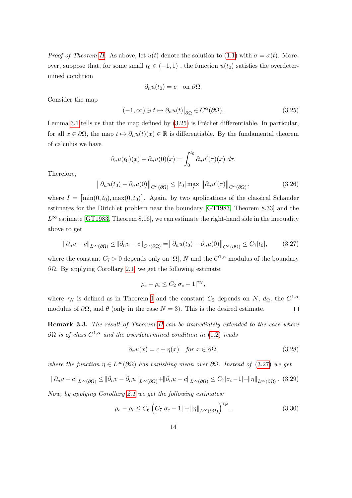*Proof of Theorem [II.](#page-4-0)* As above, let  $u(t)$  denote the solution to [\(1.1\)](#page-0-0) with  $\sigma = \sigma(t)$ . Moreover, suppose that, for some small  $t_0 \in (-1, 1)$ , the function  $u(t_0)$  satisfies the overdetermined condition

$$
\partial_n u(t_0) = c \quad \text{on } \partial \Omega.
$$

Consider the map

<span id="page-13-0"></span>
$$
(-1,\infty) \ni t \mapsto \partial_n u(t)|_{\partial \Omega} \in C^{\alpha}(\partial \Omega). \tag{3.25}
$$

Lemma [3.1](#page-10-2) tells us that the map defined by  $(3.25)$  is Fréchet differentiable. In particular, for all  $x \in \partial\Omega$ , the map  $t \mapsto \partial_nu(t)(x) \in \mathbb{R}$  is differentiable. By the fundamental theorem of calculus we have

$$
\partial_n u(t_0)(x) - \partial_n u(0)(x) = \int_0^{t_0} \partial_n u'(\tau)(x) d\tau.
$$

Therefore,

$$
\left\|\partial_n u(t_0) - \partial_n u(0)\right\|_{C^{\alpha}(\partial \Omega)} \le |t_0| \max_{I} \left\|\partial_n u'(\tau)\right\|_{C^{\alpha}(\partial \Omega)},
$$
\n(3.26)

where  $I = [\min(0, t_0), \max(0, t_0)]$ . Again, by two applications of the classical Schauder estimates for the Dirichlet problem near the boundary [\[GT1983,](#page-21-1) Theorem 8.33] and the  $L^{\infty}$  estimate [\[GT1983,](#page-21-1) Theorem 8.16], we can estimate the right-hand side in the inequality above to get

<span id="page-13-1"></span>
$$
\|\partial_n v - c\|_{L^{\infty}(\partial\Omega)} \le \|\partial_n v - c\|_{C^{\alpha}(\partial\Omega)} = \|\partial_n u(t_0) - \partial_n u(0)\|_{C^{\alpha}(\partial\Omega)} \le C_7|t_0|,
$$
 (3.27)

where the constant  $C_7 > 0$  depends only on  $|\Omega|$ , N and the  $C^{1,\alpha}$  modulus of the boundary  $\partial Ω$ . By applying Corollary [2.1,](#page-10-4) we get the following estimate:

$$
\rho_e - \rho_i \le C_2 |\sigma_c - 1|^{\tau_N},
$$

where  $\tau_N$  is defined as in Theorem [I](#page-3-0) and the constant  $C_2$  depends on N,  $d_{\Omega}$ , the  $C^{1,\alpha}$ modulus of  $\partial\Omega$ , and  $\theta$  (only in the case  $N=3$ ). This is the desired estimate.  $\Box$ 

<span id="page-13-2"></span>Remark 3.3. The result of Theorem [II](#page-4-0) can be immediately extended to the case where  $\partial\Omega$  is of class  $C^{1,\alpha}$  and the overdetermined condition in [\(1.2\)](#page-0-1) reads

<span id="page-13-3"></span>
$$
\partial_n u(x) = c + \eta(x) \quad \text{for } x \in \partial \Omega,
$$
\n(3.28)

where the function  $\eta \in L^{\infty}(\partial \Omega)$  has vanishing mean over  $\partial \Omega$ . Instead of [\(3.27\)](#page-13-1) we get

$$
\|\partial_n v - c\|_{L^{\infty}(\partial\Omega)} \le \|\partial_n v - \partial_n u\|_{L^{\infty}(\partial\Omega)} + \|\partial_n u - c\|_{L^{\infty}(\partial\Omega)} \le C_7 |\sigma_c - 1| + \|\eta\|_{L^{\infty}(\partial\Omega)}.
$$
 (3.29)

Now, by applying Corollary [2.1](#page-10-4) we get the following estimates:

$$
\rho_e - \rho_i \le C_6 \left( C_7 |\sigma_c - 1| + ||\eta||_{L^\infty(\partial \Omega)} \right)^{\tau_N} . \tag{3.30}
$$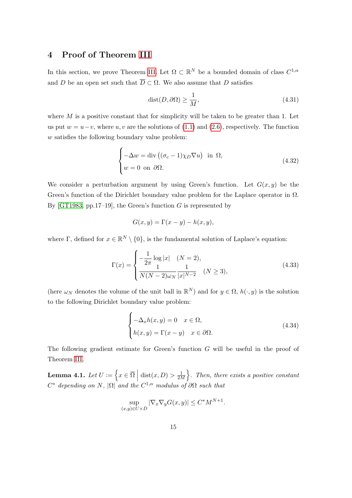### <span id="page-14-0"></span>4 Proof of Theorem [III](#page-4-1)

In this section, we prove Theorem [III.](#page-4-1) Let  $\Omega \subset \mathbb{R}^N$  be a bounded domain of class  $C^{1,\alpha}$ and D be an open set such that  $\overline{D} \subset \Omega$ . We also assume that D satisfies

$$
dist(D, \partial \Omega) \ge \frac{1}{M},\tag{4.31}
$$

where  $M$  is a positive constant that for simplicity will be taken to be greater than 1. Let us put  $w = u - v$ , where u, v are the solutions of [\(1.1\)](#page-0-0) and [\(2.6\)](#page-6-1), respectively. The function w satisfies the following boundary value problem:

<span id="page-14-2"></span>
$$
\begin{cases}\n-\Delta w = \text{div}\left((\sigma_c - 1)\chi_D \nabla u\right) & \text{in } \Omega, \\
w = 0 & \text{on } \partial\Omega.\n\end{cases}
$$
\n(4.32)

We consider a perturbation argument by using Green's function. Let  $G(x, y)$  be the Green's function of the Dirichlet boundary value problem for the Laplace operator in  $\Omega$ . By [\[GT1983,](#page-21-1) pp.17–19], the Green's function  $G$  is represented by

$$
G(x, y) = \Gamma(x - y) - h(x, y),
$$

where  $\Gamma$ , defined for  $x \in \mathbb{R}^N \setminus \{0\}$ , is the fundamental solution of Laplace's equation:

<span id="page-14-1"></span>
$$
\Gamma(x) = \begin{cases}\n-\frac{1}{2\pi} \log|x| & (N = 2), \\
\frac{1}{N(N - 2)\omega_N} \frac{1}{|x|^{N - 2}} & (N \ge 3),\n\end{cases}
$$
\n(4.33)

(here  $\omega_N$  denotes the volume of the unit ball in  $\mathbb{R}^N$ ) and for  $y \in \Omega$ ,  $h(\cdot, y)$  is the solution to the following Dirichlet boundary value problem:

$$
\begin{cases}\n-\Delta_x h(x, y) = 0 & x \in \Omega, \\
h(x, y) = \Gamma(x - y) & x \in \partial\Omega.\n\end{cases}
$$
\n(4.34)

The following gradient estimate for Green's function G will be useful in the proof of Theorem [III.](#page-4-1)

<span id="page-14-3"></span>**Lemma 4.1.** Let  $U := \left\{ x \in \overline{\Omega} \mid \text{dist}(x, D) > \frac{1}{2\lambda} \right\}$  $\frac{1}{2M}$ . Then, there exists a positive constant  $C^*$  depending on N,  $|\Omega|$  and the  $C^{1,\alpha}$  modulus of  $\partial\Omega$  such that

$$
\sup_{(x,y)\in U\times D} |\nabla_x \nabla_y G(x,y)| \le C^* M^{N+1}.
$$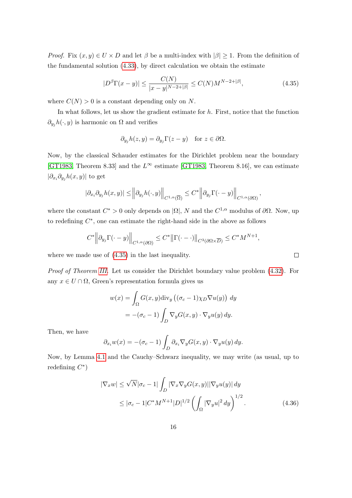*Proof.* Fix  $(x, y) \in U \times D$  and let  $\beta$  be a multi-index with  $|\beta| \geq 1$ . From the definition of the fundamental solution [\(4.33\)](#page-14-1), by direct calculation we obtain the estimate

<span id="page-15-0"></span>
$$
|D^{\beta}\Gamma(x-y)| \le \frac{C(N)}{|x-y|^{N-2+|\beta|}} \le C(N)M^{N-2+|\beta|},\tag{4.35}
$$

where  $C(N) > 0$  is a constant depending only on N.

In what follows, let us show the gradient estimate for  $h$ . First, notice that the function  $\partial_{y_j}h(\cdot, y)$  is harmonic on  $\Omega$  and verifies

$$
\partial_{y_j} h(z, y) = \partial_{y_j} \Gamma(z - y) \quad \text{for } z \in \partial \Omega.
$$

Now, by the classical Schauder estimates for the Dirichlet problem near the boundary [\[GT1983,](#page-21-1) Theorem 8.33] and the  $L^{\infty}$  estimate [\[GT1983,](#page-21-1) Theorem 8.16], we can estimate  $|\partial_{x_i}\partial_{y_j}h(x,y)|$  to get

$$
|\partial_{x_i}\partial_{y_j}h(x,y)| \leq \left\|\partial_{y_j}h(\cdot,y)\right\|_{C^{1,\alpha}(\overline{\Omega})} \leq C^* \left\|\partial_{y_j}\Gamma(\cdot-y)\right\|_{C^{1,\alpha}(\partial\Omega)},
$$

where the constant  $C^* > 0$  only depends on  $|\Omega|$ , N and the  $C^{1,\alpha}$  modulus of  $\partial\Omega$ . Now, up to redefining  $C^*$ , one can estimate the right-hand side in the above as follows

$$
C^* \left\| \partial_{y_j} \Gamma(\cdot - y) \right\|_{C^{1,\alpha}(\partial \Omega)} \le C^* \left\| \Gamma(\cdot - \cdot) \right\|_{C^3(\partial \Omega \times \overline{D})} \le C^* M^{N+1},
$$

where we made use of [\(4.35\)](#page-15-0) in the last inequality.

Proof of Theorem [III.](#page-4-1) Let us consider the Dirichlet boundary value problem [\(4.32\)](#page-14-2). For any  $x \in U \cap \Omega$ , Green's representation formula gives us

$$
w(x) = \int_{\Omega} G(x, y) \operatorname{div}_{y} ((\sigma_{c} - 1)\chi_{D} \nabla u(y)) dy
$$
  
= -(\sigma\_{c} - 1) \int\_{D} \nabla\_{y} G(x, y) \cdot \nabla\_{y} u(y) dy.

Then, we have

$$
\partial_{x_i} w(x) = -(\sigma_c - 1) \int_D \partial_{x_i} \nabla_y G(x, y) \cdot \nabla_y u(y) \, dy.
$$

Now, by Lemma [4.1](#page-14-3) and the Cauchy–Schwarz inequality, we may write (as usual, up to redefining  $C^*$ )

$$
|\nabla_x w| \le \sqrt{N} |\sigma_c - 1| \int_D |\nabla_x \nabla_y G(x, y)| |\nabla_y u(y)| dy
$$
  
\n
$$
\le |\sigma_c - 1| C^* M^{N+1} |D|^{1/2} \left( \int_{\Omega} |\nabla_y u|^2 dy \right)^{1/2} . \tag{4.36}
$$

<span id="page-15-1"></span> $\Box$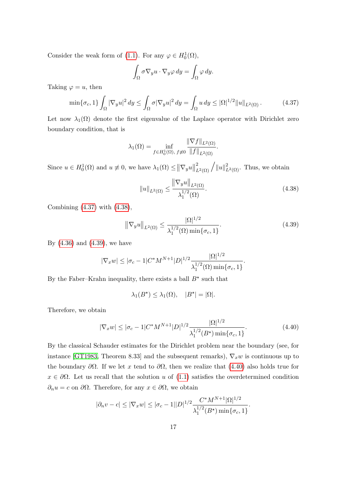Consider the weak form of [\(1.1\)](#page-0-0). For any  $\varphi \in H_0^1(\Omega)$ ,

$$
\int_{\Omega} \sigma \nabla_y u \cdot \nabla_y \varphi \, dy = \int_{\Omega} \varphi \, dy.
$$

Taking  $\varphi = u$ , then

<span id="page-16-0"></span>
$$
\min\{\sigma_c, 1\} \int_{\Omega} |\nabla_y u|^2 dy \le \int_{\Omega} \sigma |\nabla_y u|^2 dy = \int_{\Omega} u dy \le |\Omega|^{1/2} \|u\|_{L^2(\Omega)}.
$$
 (4.37)

Let now  $\lambda_1(\Omega)$  denote the first eigenvalue of the Laplace operator with Dirichlet zero boundary condition, that is

$$
\lambda_1(\Omega) = \inf_{f \in H_0^1(\Omega), \ f \neq 0} \frac{\|\nabla f\|_{L^2(\Omega)}}{\|f\|_{L^2(\Omega)}}.
$$

Since  $u \in H_0^1(\Omega)$  and  $u \neq 0$ , we have  $\lambda_1(\Omega) \leq ||\nabla_y u||$  $\sum_{L^2(\Omega)}^2 \sqrt{\|u\|_{L^2(\Omega)}^2}$ . Thus, we obtain

<span id="page-16-1"></span>
$$
||u||_{L^{2}(\Omega)} \le \frac{||\nabla_{y}u||_{L^{2}(\Omega)}}{\lambda_{1}^{1/2}(\Omega)}.
$$
\n(4.38)

Combining [\(4.37\)](#page-16-0) with [\(4.38\)](#page-16-1),

<span id="page-16-2"></span>
$$
\|\nabla_y u\|_{L^2(\Omega)} \le \frac{|\Omega|^{1/2}}{\lambda_1^{1/2}(\Omega) \min\{\sigma_c, 1\}}.
$$
\n(4.39)

By [\(4.36\)](#page-15-1) and [\(4.39\)](#page-16-2), we have

$$
|\nabla_x w| \le |\sigma_c - 1| C^* M^{N+1} |D|^{1/2} \frac{|\Omega|^{1/2}}{\lambda_1^{1/2}(\Omega) \min{\{\sigma_c, 1\}}}.
$$

By the Faber–Krahn inequality, there exists a ball  $B^*$  such that

$$
\lambda_1(B^*) \le \lambda_1(\Omega), \quad |B^*| = |\Omega|.
$$

Therefore, we obtain

<span id="page-16-3"></span>
$$
|\nabla_x w| \le |\sigma_c - 1| C^* M^{N+1} |D|^{1/2} \frac{|\Omega|^{1/2}}{\lambda_1^{1/2} (B^*) \min\{\sigma_c, 1\}}.
$$
\n(4.40)

By the classical Schauder estimates for the Dirichlet problem near the boundary (see, for instance [\[GT1983,](#page-21-1) Theorem 8.33] and the subsequent remarks),  $\nabla_x w$  is continuous up to the boundary  $\partial\Omega$ . If we let x tend to  $\partial\Omega$ , then we realize that [\(4.40\)](#page-16-3) also holds true for  $x \in \partial\Omega$ . Let us recall that the solution u of [\(1.1\)](#page-0-0) satisfies the overdetermined condition  $\partial_n u = c$  on  $\partial \Omega$ . Therefore, for any  $x \in \partial \Omega$ , we obtain

$$
|\partial_n v - c| \le |\nabla_x w| \le |\sigma_c - 1||D|^{1/2} \frac{C^* M^{N+1} |\Omega|^{1/2}}{\lambda_1^{1/2} (B^*) \min{\{\sigma_c, 1\}}}.
$$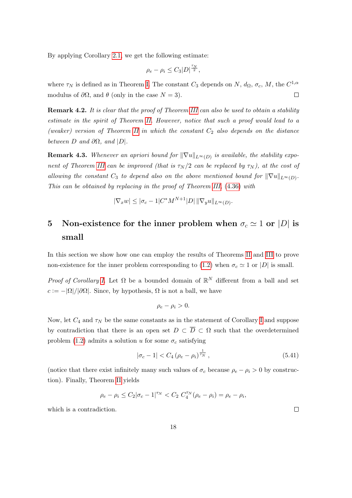By applying Corollary [2.1,](#page-10-4) we get the following estimate:

$$
\rho_e - \rho_i \leq C_3 |D|^{\frac{\tau_N}{2}},
$$

where  $\tau_N$  is defined as in Theorem [I.](#page-3-0) The constant  $C_3$  depends on N,  $d_{\Omega}, \sigma_c, M$ , the  $C^{1,\alpha}$ modulus of  $\partial\Omega$ , and  $\theta$  (only in the case  $N=3$ ).  $\Box$ 

Remark 4.2. It is clear that the proof of Theorem [III](#page-4-1) can also be used to obtain a stability estimate in the spirit of Theorem [II.](#page-4-0) However, notice that such a proof would lead to a (weaker) version of Theorem [II](#page-4-0) in which the constant  $C_2$  also depends on the distance between D and  $\partial\Omega$ , and  $|D|$ .

**Remark 4.3.** Whenever an apriori bound for  $\|\nabla u\|_{L^{\infty}(D)}$  is available, the stability expo-nent of Theorem [III](#page-4-1) can be improved (that is  $\tau_N/2$  can be replaced by  $\tau_N$ ), at the cost of allowing the constant  $C_3$  to depend also on the above mentioned bound for  $\|\nabla u\|_{L^{\infty}(D)}$ . This can be obtained by replacing in the proof of Theorem [III,](#page-4-1) [\(4.36\)](#page-15-1) with

$$
|\nabla_x w| \le |\sigma_c - 1| C^* M^{N+1} |D| ||\nabla_y u||_{L^{\infty}(D)}.
$$

## <span id="page-17-0"></span>5 Non-existence for the inner problem when  $\sigma_c \simeq 1$  or  $|D|$  is small

In this section we show how one can employ the results of Theorems [II](#page-4-0) and [III](#page-4-1) to prove non-existence for the inner problem corresponding to [\(1.2\)](#page-0-1) when  $\sigma_c \simeq 1$  or |D| is small.

Proof of Corollary [I.](#page-5-0) Let  $\Omega$  be a bounded domain of  $\mathbb{R}^N$  different from a ball and set  $c := -|\Omega|/|\partial\Omega|$ . Since, by hypothesis,  $\Omega$  is not a ball, we have

$$
\rho_e - \rho_i > 0.
$$

Now, let  $C_4$  and  $\tau_N$  be the same constants as in the statement of Corollary [I](#page-5-0) and suppose by contradiction that there is an open set  $D \subset \overline{D} \subset \Omega$  such that the overdetermined problem [\(1.2\)](#page-0-1) admits a solution u for some  $\sigma_c$  satisfying

$$
|\sigma_c - 1| < C_4 \left( \rho_e - \rho_i \right)^{\frac{1}{\tau_N}},\tag{5.41}
$$

(notice that there exist infinitely many such values of  $\sigma_c$  because  $\rho_e - \rho_i > 0$  by construction). Finally, Theorem [II](#page-4-0) yields

$$
\rho_e-\rho_i\leq C_2|\sigma_c-1|^{\tau_N}
$$

which is a contradiction.

 $\Box$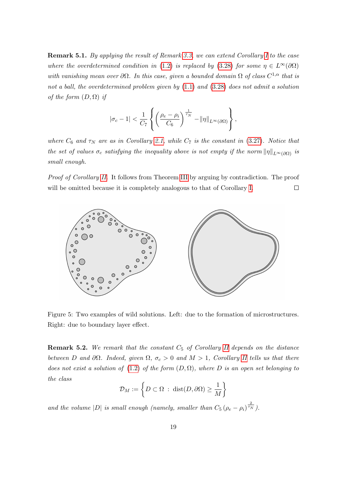Remark 5.1. By applying the result of Remark [3.3,](#page-13-2) we can extend Corollary [I](#page-5-0) to the case where the overdetermined condition in [\(1.2\)](#page-0-1) is replaced by [\(3.28\)](#page-13-3) for some  $\eta \in L^{\infty}(\partial \Omega)$ with vanishing mean over  $\partial\Omega$ . In this case, given a bounded domain  $\Omega$  of class  $C^{1,\alpha}$  that is not a ball, the overdetermined problem given by [\(1.1\)](#page-0-0) and [\(3.28\)](#page-13-3) does not admit a solution of the form  $(D, \Omega)$  if

$$
|\sigma_c-1|<\frac{1}{C_7}\left\{\left(\frac{\rho_e-\rho_i}{C_6}\right)^{\frac{1}{\tau_N}}-\|\eta\|_{L^\infty(\partial\Omega)}\right\},
$$

where  $C_6$  and  $\tau_N$  are as in Corollary [2.1,](#page-10-4) while  $C_7$  is the constant in [\(3.27\)](#page-13-1). Notice that the set of values  $\sigma_c$  satisfying the inequality above is not empty if the norm  $\|\eta\|_{L^\infty(\partial\Omega)}$  is small enough.

Proof of Corollary [II.](#page-5-1) It follows from Theorem [III](#page-4-1) by arguing by contradiction. The proof will be omitted because it is completely analogous to that of Corollary [I.](#page-5-0)  $\Box$ 



Figure 5: Two examples of wild solutions. Left: due to the formation of microstructures. Right: due to boundary layer effect.

**Remark 5.2.** We remark that the constant  $C_5$  of Corollary [II](#page-5-1) depends on the distance between D and  $\partial\Omega$ . Indeed, given  $\Omega$ ,  $\sigma_c > 0$  and  $M > 1$ , Corollary [II](#page-5-1) tells us that there does not exist a solution of [\(1.2\)](#page-0-1) of the form  $(D, \Omega)$ , where D is an open set belonging to the class

<span id="page-18-0"></span>
$$
\mathcal{D}_M := \left\{ D \subset \Omega \; : \; \text{dist}(D, \partial \Omega) \ge \frac{1}{M} \right\}
$$

and the volume  $|D|$  is small enough (namely, smaller than  $C_5(\rho_e - \rho_i)^{\frac{2}{\tau_N}}$ ).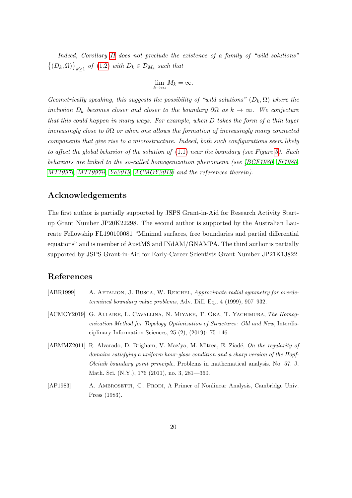Indeed, Corollary [II](#page-5-1) does not preclude the existence of a family of "wild solutions"  $\{(D_k, \Omega)\}_{k\geq 1}$  of  $(1.2)$  with  $D_k \in \mathcal{D}_{M_k}$  such that

$$
\lim_{k \to \infty} M_k = \infty.
$$

Geometrically speaking, this suggests the possibility of "wild solutions"  $(D_k, \Omega)$  where the inclusion  $D_k$  becomes closer and closer to the boundary  $\partial\Omega$  as  $k \to \infty$ . We conjecture that this could happen in many ways. For example, when D takes the form of a thin layer increasingly close to  $\partial\Omega$  or when one allows the formation of increasingly many connected components that give rise to a microstructure. Indeed, both such configurations seem likely to affect the global behavior of the solution of [\(1.1\)](#page-0-0) near the boundary (see Figure [5\)](#page-18-0). Such behaviors are linked to the so-called homogenization phenomena (see [\[BCF1980,](#page-20-12) [Fr1980,](#page-21-14) [MT1997i,](#page-22-1) [MT1997ii,](#page-22-2) [Ya2019,](#page-22-9) [ACMOY2019\]](#page-19-3) and the references therein).

#### Acknowledgements

The first author is partially supported by JSPS Grant-in-Aid for Research Activity Startup Grant Number JP20K22298. The second author is supported by the Australian Laureate Fellowship FL190100081 "Minimal surfaces, free boundaries and partial differential equations" and is member of AustMS and INdAM/GNAMPA. The third author is partially supported by JSPS Grant-in-Aid for Early-Career Scientists Grant Number JP21K13822.

#### References

<span id="page-19-3"></span><span id="page-19-2"></span><span id="page-19-1"></span><span id="page-19-0"></span>

| [ABR1999] | A. AFTALION, J. BUSCA, W. REICHEL, Approximate radial symmetry for overde-<br><i>termined boundary value problems, Adv. Diff. Eq., 4 (1999), 907–932.</i>                                                                                                                                                                    |
|-----------|------------------------------------------------------------------------------------------------------------------------------------------------------------------------------------------------------------------------------------------------------------------------------------------------------------------------------|
|           | [ACMOY2019] G. ALLAIRE, L. CAVALLINA, N. MIYAKE, T. OKA, T. YACHIMURA, The Homog-<br>enization Method for Topology Optimization of Structures: Old and New, Interdis-<br>ciplinary Information Sciences, $25(2)$ , $(2019)$ : 75-146.                                                                                        |
|           | [ABMMZ2011] R. Alvarado, D. Brigham, V. Maz'ya, M. Mitrea, E. Ziadé, On the regularity of<br>domains satisfying a uniform hour-glass condition and a sharp version of the Hopf-<br><i>Oleinik boundary point principle</i> , Problems in mathematical analysis. No. 57. J.<br>Math. Sci. (N.Y.), 176 (2011), no. 3, 281—360. |
| [AP1983]  | A. AMBROSETTI, G. PRODI, A Primer of Nonlinear Analysis, Cambridge Univ.<br>Press $(1983)$ .                                                                                                                                                                                                                                 |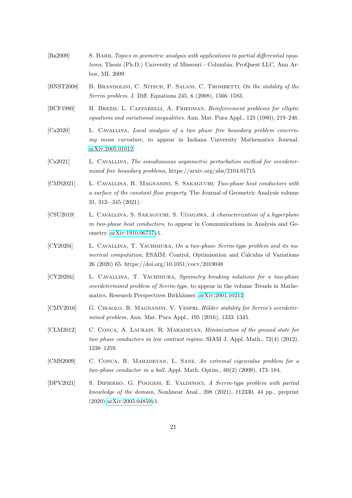<span id="page-20-12"></span><span id="page-20-11"></span><span id="page-20-10"></span><span id="page-20-9"></span><span id="page-20-8"></span><span id="page-20-7"></span><span id="page-20-6"></span><span id="page-20-5"></span><span id="page-20-4"></span><span id="page-20-3"></span><span id="page-20-2"></span><span id="page-20-1"></span><span id="page-20-0"></span>

| [Ba2009]     | S. BARB, Topics in geometric analysis with applications to partial differential equa-<br>tions, Thesis (Ph.D.) University of Missouri - Columbia. ProQuest LLC, Ann Ar-<br>bor, MI, 2009.                                |
|--------------|--------------------------------------------------------------------------------------------------------------------------------------------------------------------------------------------------------------------------|
| [BNST2008]   | B. BRANDOLINI, C. NITSCH, P. SALANI, C. TROMBETTI, On the stability of the<br>Serrin problem. J. Diff. Equations 245, 6 (2008), 1566-1583.                                                                               |
| [BCF1980]    | H. BREZIS, L. CAFFARELLI, A. FRIEDMAN, Reinforcement problems for elliptic<br>equations and variational inequalities, Ann. Mat. Pura Appl., 123 (1980), 219–246.                                                         |
| [ $Ca2020$ ] | L. CAVALLINA, Local analysis of a two phase free boundary problem concern-<br>ing mean curvature, to appear in Indiana University Mathematics Journal.<br>arXiv:2005.01012.                                              |
| [Ca2021]     | L. CAVALLINA, The simultaneous asymmetric perturbation method for overdeter-<br>mined free boundary problems, https://arxiv.org/abs/2104.01715.                                                                          |
| [CMS2021]    | L. CAVALLINA, R. MAGNANINI, S. SAKAGUCHI, Two-phase heat conductors with<br>a surface of the constant flow property. The Journal of Geometric Analysis volume<br>$31, 312 - 345 (2021).$                                 |
| [CSU2019]    | L. CAVALLINA, S. SAKAGUCHI, S. UDAGAWA, A characterization of a hyperplane<br>in two-phase heat conductors, to appear in Communications in Analysis and Ge-<br>ometry. arXiv:1910.06757v1.                               |
| [CY2020i]    | L. CAVALLINA, T. YACHIMURA, On a two-phase Serrin-type problem and its nu-<br><i>merical computation</i> , ESAIM: Control, Optimisation and Calculus of Variations<br>26 (2020) 65. https://doi.org/10.1051/cocv/2019048 |
| [CY2020ii]   | L. CAVALLINA, T. YACHIMURA, Symmetry breaking solutions for a two-phase<br>overdetermined problem of Serrin-type, to appear in the volume Trends in Mathe-<br>matics, Research Perspectives Birkhäuser. arXiv:2001.10212 |
| [CMV2016]    | G. CIRAOLO, R. MAGNANINI, V. VESPRI, Hölder stability for Serrin's overdeter-<br>mined problem, Ann. Mat. Pura Appl., 195 (2016), 1333-1345.                                                                             |
| [CLM2012]    | C. CONCA, A. LAURAIN, R. MAHADEVAN, Minimization of the ground state for<br>two phase conductors in low contrast regime. SIAM J. Appl. Math., $72(4)$ (2012),<br>$1238 - 1259.$                                          |
| [CMS2009]    | C. CONCA, R. MAHADEVAN, L. SANZ, An extremal eigenvalue problem for a<br><i>two-phase conductor in a ball.</i> Appl. Math. Optim., $60(2)$ (2009), 173–184.                                                              |
| [DPV2021]    | S. DIPIERRO, G. POGGESI, E. VALDINOCI, A Serrin-type problem with partial<br>knowledge of the domain, Nonlinear Anal., $208$ (2021), 112330, 44 pp., preprint<br>$(2020)$ arXiv:2005.04859v1.                            |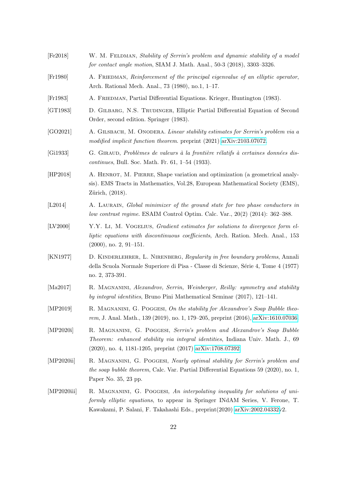<span id="page-21-14"></span><span id="page-21-13"></span><span id="page-21-12"></span><span id="page-21-11"></span><span id="page-21-10"></span><span id="page-21-9"></span><span id="page-21-8"></span><span id="page-21-7"></span><span id="page-21-6"></span><span id="page-21-5"></span><span id="page-21-4"></span><span id="page-21-3"></span><span id="page-21-2"></span><span id="page-21-1"></span><span id="page-21-0"></span>

| [Fe2018]              | W. M. FELDMAN, Stability of Serrin's problem and dynamic stability of a model<br>for contact angle motion, SIAM J. Math. Anal., $50-3$ (2018), $3303-3326$ .                                                                                      |
|-----------------------|---------------------------------------------------------------------------------------------------------------------------------------------------------------------------------------------------------------------------------------------------|
| [Fr1980]              | A. FRIEDMAN, Reinforcement of the principal eigenvalue of an elliptic operator,<br>Arch. Rational Mech. Anal., 73 (1980), no.1, 1-17.                                                                                                             |
| [Fr1983]              | A. FRIEDMAN, Partial Differential Equations. Krieger, Huntington (1983).                                                                                                                                                                          |
| [GT1983]              | D. GILBARG, N.S. TRUDINGER, Elliptic Partial Differential Equation of Second<br>Order, second edition. Springer (1983).                                                                                                                           |
| [GO2021]              | A. GILSBACH, M. ONODERA. Linear stability estimates for Serrin's problem via a<br>modified implicit function theorem. preprint (2021) arXiv:2103.07072.                                                                                           |
| [Gi1933]              | G. GIRAUD, Problèmes de valeurs à la frontière rélatifs à certaines données dis-<br><i>continues</i> , Bull. Soc. Math. Fr. 61, 1–54 (1933).                                                                                                      |
| [HP2018]              | A. HENROT, M. PIERRE, Shape variation and optimization (a geometrical analy-<br>sis). EMS Tracts in Mathematics, Vol.28, European Mathematical Society (EMS),<br>Zürich, $(2018)$ .                                                               |
| [L2014]               | A. LAURAIN, Global minimizer of the ground state for two phase conductors in<br>low contrast regime. ESAIM Control Optim. Calc. Var., $20(2)$ (2014): 362–388.                                                                                    |
| [LV2000]              | Y.Y. LI, M. VOGELIUS, Gradient estimates for solutions to divergence form el-<br>liptic equations with discontinuous coefficients, Arch. Ration. Mech. Anal., 153<br>$(2000)$ , no. 2, 91–151.                                                    |
| [KN1977]              | D. KINDERLEHRER, L. NIRENBERG, Regularity in free boundary problems, Annali<br>della Scuola Normale Superiore di Pisa - Classe di Scienze, Série 4, Tome 4 (1977)<br>no. 2, 373-391.                                                              |
| $\left[Ma2017\right]$ | R. MAGNANINI, Alexandrov, Serrin, Weinberger, Reilly: symmetry and stability<br>by integral identities, Bruno Pini Mathematical Seminar (2017), 121–141.                                                                                          |
| [MP2019]              | R. MAGNANINI, G. POGGESI, On the stability for Alexandrov's Soap Bubble theo-<br>rem, J. Anal. Math., 139 (2019), no. 1, 179-205, preprint (2016), arXiv:1610.07036.                                                                              |
| [MP2020i]             | R. MAGNANINI, G. POGGESI, Serrin's problem and Alexandrov's Soap Bubble<br><i>Theorem: enhanced stability via integral identities, Indiana Univ. Math. J., 69</i><br>$(2020)$ , no. 4, 1181-1205, preprint $(2017)$ arXiv:1708.07392.             |
| [MP2020ii]            | R. MAGNANINI, G. POGGESI, Nearly optimal stability for Serrin's problem and<br>the soap bubble theorem, Calc. Var. Partial Differential Equations 59 (2020), no. 1,<br>Paper No. 35, 23 pp.                                                       |
| [MP2020iii]           | R. MAGNANINI, G. POGGESI, An interpolating inequality for solutions of uni-<br><i>formly elliptic equations</i> , to appear in Springer INdAM Series, V. Ferone, T.<br>Kawakami, P. Salani, F. Takahashi Eds., preprint(2020) arXiv:2002.04332v2. |